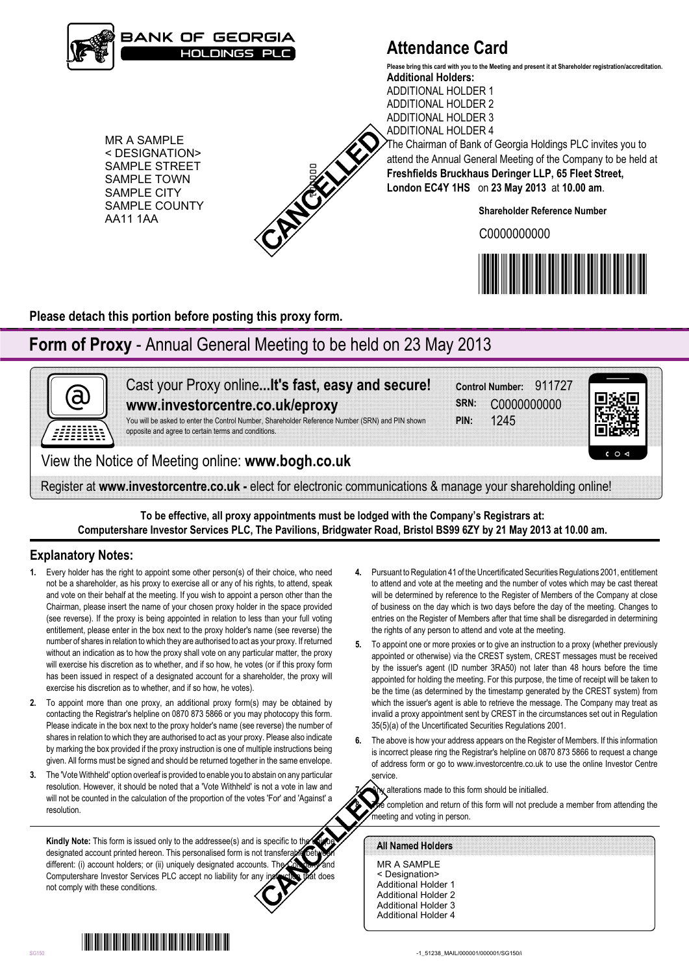

# **Attendance Card**

ADDITIONAL HOLDER 2 ADDITIONAL HOLDER 3

**Additional Holders:** ADDITIONAL HOLDER 1 **Please bring this card with you to the Meeting and present it at Shareholder registration/accreditation.**

MR A SAMPLE < DESIGNATION> SAMPLE STREET SAMPLE TOWN SAMPLE CITY SAMPLE COUNTY AA11 1AA



ADDITIONAL HOLDER 4 The Chairman of Bank of Georgia Holdings PLC invites you to attend the Annual General Meeting of the Company to be held at **Freshfields Bruckhaus Deringer LLP, 65 Fleet Street, London EC4Y 1HS** on **23 May 2013** at **10.00 am**.

**Shareholder Reference Number**

C0000000000



**Please detach this portion before posting this proxy form.**

# **Form of Proxy** - Annual General Meeting to be held on 23 May 2013



Cast your Proxy online**...It's fast, easy and secure! www.investorcentre.co.uk/eproxy**

You will be asked to enter the Control Number, Shareholder Reference Number (SRN) and PIN shown opposite and agree to certain terms and conditions.

**PIN:** 1245 **SRN:** C0000000000 **Control Number:** 911727



View the Notice of Meeting online: **www.bogh.co.uk**

Register at **www.investorcentre.co.uk -** elect for electronic communications & manage your shareholding online!

**To be effective, all proxy appointments must be lodged with the Company's Registrars at: Computershare Investor Services PLC, The Pavilions, Bridgwater Road, Bristol BS99 6ZY by 21 May 2013 at 10.00 am.**

## **Explanatory Notes:**

- **1.** Every holder has the right to appoint some other person(s) of their choice, who need not be a shareholder, as his proxy to exercise all or any of his rights, to attend, speak and vote on their behalf at the meeting. If you wish to appoint a person other than the Chairman, please insert the name of your chosen proxy holder in the space provided (see reverse). If the proxy is being appointed in relation to less than your full voting entitlement, please enter in the box next to the proxy holder's name (see reverse) the number of shares in relation to which they are authorised to act as your proxy. If returned without an indication as to how the proxy shall vote on any particular matter, the proxy will exercise his discretion as to whether, and if so how, he votes (or if this proxy form has been issued in respect of a designated account for a shareholder, the proxy will exercise his discretion as to whether, and if so how, he votes). EXAMPLE SINCE IN CONTRACT CONFERENCE INTO THE CONFERENCE INTERNATIONAL CONFERENCE INTO A SAMELE CONFERENCE INTERNATIONAL CONFERENCE INTO A SAMELE CONFERENCE INTERNATIONAL CONFERENCE INTERNATIONAL CONFERENCE INTERNATIONAL
- **2.** To appoint more than one proxy, an additional proxy form(s) may be obtained by contacting the Registrar's helpline on 0870 873 5866 or you may photocopy this form. Please indicate in the box next to the proxy holder's name (see reverse) the number of shares in relation to which they are authorised to act as your proxy. Please also indicate by marking the box provided if the proxy instruction is one of multiple instructions being given. All forms must be signed and should be returned together in the same envelope.
- **3.** The 'Vote Withheld' option overleaf is provided to enable you to abstain on any particular resolution. However, it should be noted that a 'Vote Withheld' is not a vote in law and will not be counted in the calculation of the proportion of the votes 'For' and 'Against' a resolution.

**Kindly Note:** This form is issued only to the addressee(s) and is specific to the designated account printed hereon. This personalised form is not transferable different: (i) account holders; or (ii) uniquely designated accounts. The Computershare Investor Services PLC accept no liability for any instruction that does not comply with these conditions.

- **4.** Pursuant to Regulation 41 of the Uncertificated Securities Regulations 2001, entitlement to attend and vote at the meeting and the number of votes which may be cast thereat will be determined by reference to the Register of Members of the Company at close of business on the day which is two days before the day of the meeting. Changes to entries on the Register of Members after that time shall be disregarded in determining the rights of any person to attend and vote at the meeting.
- **5.** To appoint one or more proxies or to give an instruction to a proxy (whether previously appointed or otherwise) via the CREST system, CREST messages must be received by the issuer's agent (ID number 3RA50) not later than 48 hours before the time appointed for holding the meeting. For this purpose, the time of receipt will be taken to be the time (as determined by the timestamp generated by the CREST system) from which the issuer's agent is able to retrieve the message. The Company may treat as invalid a proxy appointment sent by CREST in the circumstances set out in Regulation 35(5)(a) of the Uncertificated Securities Regulations 2001.
- **6.** The above is how your address appears on the Register of Members. If this information is incorrect please ring the Registrar's helpline on 0870 873 5866 to request a change of address form or go to www.investorcentre.co.uk to use the online Investor Centre service.



**8.** The completion and return of this form will not preclude a member from attending the meeting and voting in person.

MR A SAMPLE < Designation> Additional Holder 1 Additional Holder 2 Additional Holder 3 Additional Holder 4